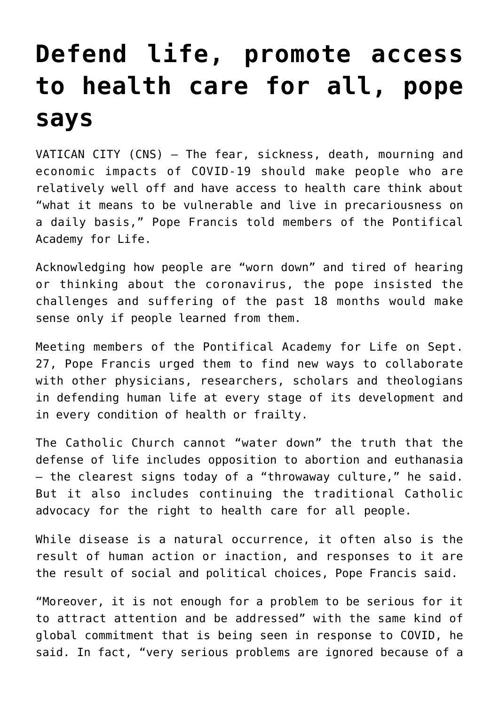## **[Defend life, promote access](https://www.osvnews.com/2021/09/28/defend-life-promote-access-to-health-care-for-all-pope-says/) [to health care for all, pope](https://www.osvnews.com/2021/09/28/defend-life-promote-access-to-health-care-for-all-pope-says/) [says](https://www.osvnews.com/2021/09/28/defend-life-promote-access-to-health-care-for-all-pope-says/)**

VATICAN CITY (CNS) — The fear, sickness, death, mourning and economic impacts of COVID-19 should make people who are relatively well off and have access to health care think about "what it means to be vulnerable and live in precariousness on a daily basis," Pope Francis told members of the Pontifical Academy for Life.

Acknowledging how people are "worn down" and tired of hearing or thinking about the coronavirus, the pope insisted the challenges and suffering of the past 18 months would make sense only if people learned from them.

Meeting members of the Pontifical Academy for Life on Sept. 27, Pope Francis urged them to find new ways to collaborate with other physicians, researchers, scholars and theologians in defending human life at every stage of its development and in every condition of health or frailty.

The Catholic Church cannot "water down" the truth that the defense of life includes opposition to abortion and euthanasia — the clearest signs today of a "throwaway culture," he said. But it also includes continuing the traditional Catholic advocacy for the right to health care for all people.

While disease is a natural occurrence, it often also is the result of human action or inaction, and responses to it are the result of social and political choices, Pope Francis said.

"Moreover, it is not enough for a problem to be serious for it to attract attention and be addressed" with the same kind of global commitment that is being seen in response to COVID, he said. In fact, "very serious problems are ignored because of a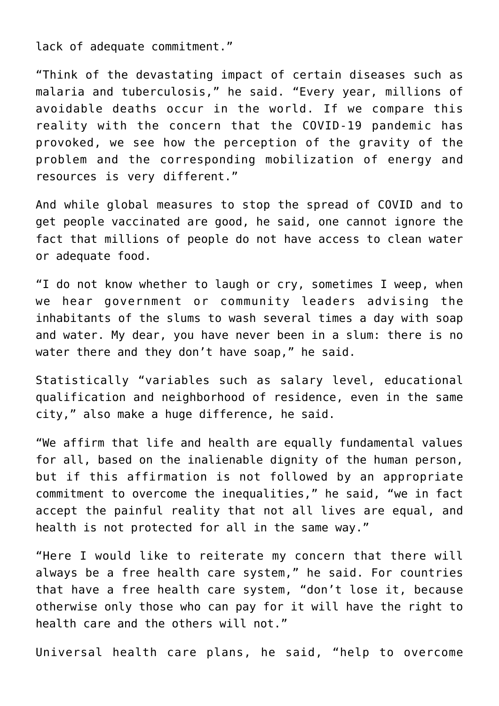lack of adequate commitment."

"Think of the devastating impact of certain diseases such as malaria and tuberculosis," he said. "Every year, millions of avoidable deaths occur in the world. If we compare this reality with the concern that the COVID-19 pandemic has provoked, we see how the perception of the gravity of the problem and the corresponding mobilization of energy and resources is very different."

And while global measures to stop the spread of COVID and to get people vaccinated are good, he said, one cannot ignore the fact that millions of people do not have access to clean water or adequate food.

"I do not know whether to laugh or cry, sometimes I weep, when we hear government or community leaders advising the inhabitants of the slums to wash several times a day with soap and water. My dear, you have never been in a slum: there is no water there and they don't have soap," he said.

Statistically "variables such as salary level, educational qualification and neighborhood of residence, even in the same city," also make a huge difference, he said.

"We affirm that life and health are equally fundamental values for all, based on the inalienable dignity of the human person, but if this affirmation is not followed by an appropriate commitment to overcome the inequalities," he said, "we in fact accept the painful reality that not all lives are equal, and health is not protected for all in the same way."

"Here I would like to reiterate my concern that there will always be a free health care system," he said. For countries that have a free health care system, "don't lose it, because otherwise only those who can pay for it will have the right to health care and the others will not."

Universal health care plans, he said, "help to overcome